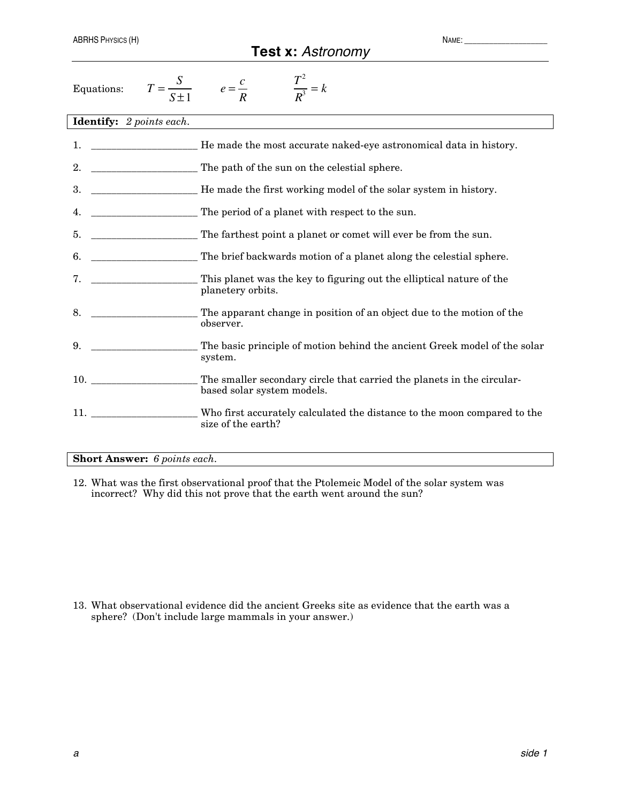## **Test x:** *Astronomy*

| Equations:                                                                                                                                                                                                                          | $\frac{T^2}{R^3} = k$<br>$T = \frac{S}{S \pm 1}$ $e = \frac{c}{R}$                                   |
|-------------------------------------------------------------------------------------------------------------------------------------------------------------------------------------------------------------------------------------|------------------------------------------------------------------------------------------------------|
| <b>Identify:</b> 2 points each.                                                                                                                                                                                                     |                                                                                                      |
| 1.                                                                                                                                                                                                                                  | He made the most accurate naked-eye astronomical data in history.                                    |
| 2.                                                                                                                                                                                                                                  | The path of the sun on the celestial sphere.                                                         |
| 3.                                                                                                                                                                                                                                  | He made the first working model of the solar system in history.                                      |
| 4.                                                                                                                                                                                                                                  | The period of a planet with respect to the sun.                                                      |
| 5.                                                                                                                                                                                                                                  | The farthest point a planet or comet will ever be from the sun.                                      |
| 6.                                                                                                                                                                                                                                  | The brief backwards motion of a planet along the celestial sphere.                                   |
| 7.                                                                                                                                                                                                                                  | This planet was the key to figuring out the elliptical nature of the<br>planetery orbits.            |
| 8.                                                                                                                                                                                                                                  | The apparant change in position of an object due to the motion of the<br>observer.                   |
| 9.                                                                                                                                                                                                                                  | The basic principle of motion behind the ancient Greek model of the solar<br>system.                 |
| 10.                                                                                                                                                                                                                                 | The smaller secondary circle that carried the planets in the circular-<br>based solar system models. |
| <b>11.</b> The contract of the contract of the contract of the contract of the contract of the contract of the contract of the contract of the contract of the contract of the contract of the contract of the contract of the cont | Who first accurately calculated the distance to the moon compared to the<br>size of the earth?       |

## **Short Answer:** *6 points each.*

12. What was the first observational proof that the Ptolemeic Model of the solar system was incorrect? Why did this not prove that the earth went around the sun?

13. What observational evidence did the ancient Greeks site as evidence that the earth was a sphere? (Don't include large mammals in your answer.)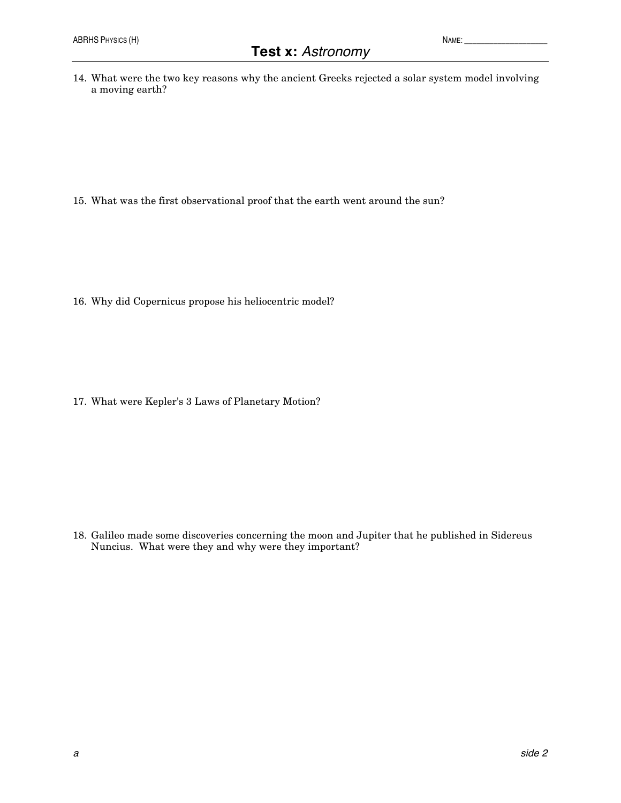14. What were the two key reasons why the ancient Greeks rejected a solar system model involving a moving earth?

15. What was the first observational proof that the earth went around the sun?

16. Why did Copernicus propose his heliocentric model?

17. What were Kepler's 3 Laws of Planetary Motion?

18. Galileo made some discoveries concerning the moon and Jupiter that he published in Sidereus Nuncius. What were they and why were they important?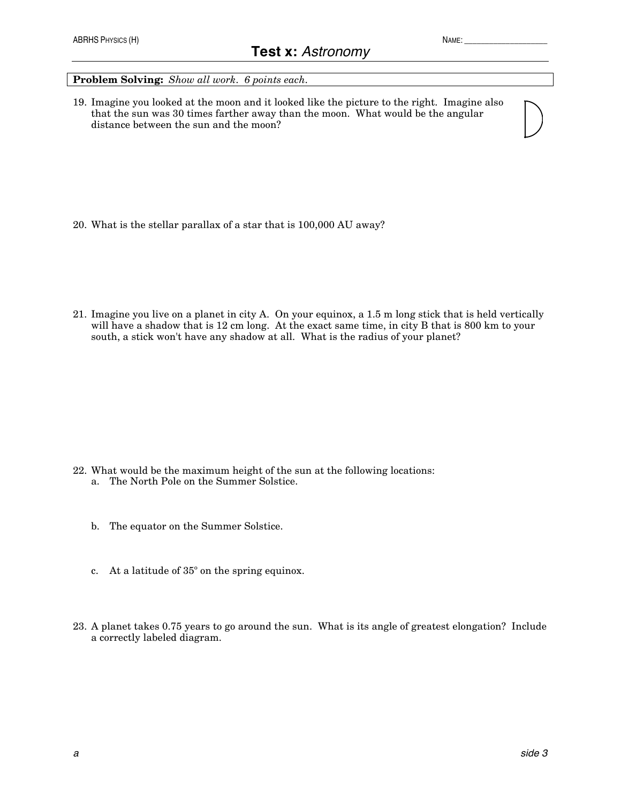## **Problem Solving:** *Show all work. 6 points each.*

19. Imagine you looked at the moon and it looked like the picture to the right. Imagine also that the sun was 30 times farther away than the moon. What would be the angular distance between the sun and the moon?

- 20. What is the stellar parallax of a star that is 100,000 AU away?
- 21. Imagine you live on a planet in city A. On your equinox, a 1.5 m long stick that is held vertically will have a shadow that is 12 cm long. At the exact same time, in city B that is 800 km to your south, a stick won't have any shadow at all. What is the radius of your planet?

- 22. What would be the maximum height of the sun at the following locations:
	- a. The North Pole on the Summer Solstice.
	- b. The equator on the Summer Solstice.
	- c. At a latitude of 35º on the spring equinox.
- 23. A planet takes 0.75 years to go around the sun. What is its angle of greatest elongation? Include a correctly labeled diagram.